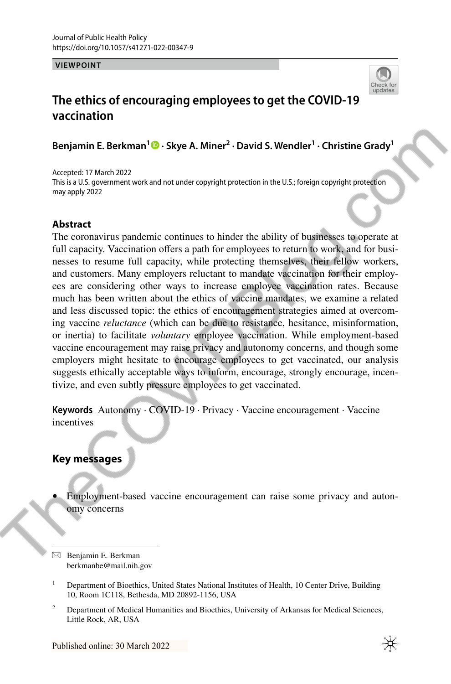**VIEWPOINT**



# **The ethics of encouraging employees to get the COVID‑19 vaccination**

**Benjamin E. Berkman<sup>1</sup> · Skye A. Miner2 · David S. Wendler1 · Christine Grady1**

Accepted: 17 March 2022 This is a U.S. government work and not under copyright protection in the U.S.; foreign copyright protection may apply 2022

### **Abstract**

The coronavirus pandemic continues to hinder the ability of businesses to operate at full capacity. Vaccination offers a path for employees to return to work, and for businesses to resume full capacity, while protecting themselves, their fellow workers, and customers. Many employers reluctant to mandate vaccination for their employees are considering other ways to increase employee vaccination rates. Because much has been written about the ethics of vaccine mandates, we examine a related and less discussed topic: the ethics of encouragement strategies aimed at overcoming vaccine *reluctance* (which can be due to resistance, hesitance, misinformation, or inertia) to facilitate *voluntary* employee vaccination. While employment-based vaccine encouragement may raise privacy and autonomy concerns, and though some employers might hesitate to encourage employees to get vaccinated, our analysis suggests ethically acceptable ways to inform, encourage, strongly encourage, incentivize, and even subtly pressure employees to get vaccinated.

**Keywords** Autonomy · COVID-19 · Privacy · Vaccine encouragement · Vaccine incentives

## **Key messages**

• Employment-based vaccine encouragement can raise some privacy and autonomy concerns

 $\boxtimes$  Benjamin E. Berkman berkmanbe@mail.nih.gov

<sup>1</sup> Department of Bioethics, United States National Institutes of Health, 10 Center Drive, Building 10, Room 1C118, Bethesda, MD 20892-1156, USA

<sup>&</sup>lt;sup>2</sup> Department of Medical Humanities and Bioethics, University of Arkansas for Medical Sciences, Little Rock, AR, USA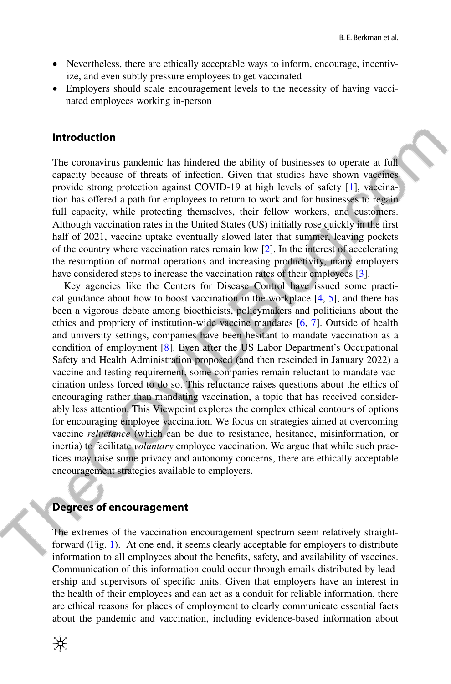- Nevertheless, there are ethically acceptable ways to inform, encourage, incentivize, and even subtly pressure employees to get vaccinated
- Employers should scale encouragement levels to the necessity of having vaccinated employees working in-person

#### **Introduction**

The coronavirus pandemic has hindered the ability of businesses to operate at full capacity because of threats of infection. Given that studies have shown vaccines provide strong protection against COVID-19 at high levels of safety [\[1](#page-7-0)], vaccination has ofered a path for employees to return to work and for businesses to regain full capacity, while protecting themselves, their fellow workers, and customers. Although vaccination rates in the United States (US) initially rose quickly in the frst half of 2021, vaccine uptake eventually slowed later that summer, leaving pockets of the country where vaccination rates remain low [\[2](#page-7-1)]. In the interest of accelerating the resumption of normal operations and increasing productivity, many employers have considered steps to increase the vaccination rates of their employees [[3\]](#page-7-2).

Key agencies like the Centers for Disease Control have issued some practical guidance about how to boost vaccination in the workplace  $[4, 5]$  $[4, 5]$  $[4, 5]$  $[4, 5]$  $[4, 5]$ , and there has been a vigorous debate among bioethicists, policymakers and politicians about the ethics and propriety of institution-wide vaccine mandates [\[6](#page-7-5), [7](#page-7-6)]. Outside of health and university settings, companies have been hesitant to mandate vaccination as a condition of employment [[8\]](#page-7-7). Even after the US Labor Department's Occupational Safety and Health Administration proposed (and then rescinded in January 2022) a vaccine and testing requirement, some companies remain reluctant to mandate vaccination unless forced to do so. This reluctance raises questions about the ethics of encouraging rather than mandating vaccination, a topic that has received considerably less attention. This Viewpoint explores the complex ethical contours of options for encouraging employee vaccination. We focus on strategies aimed at overcoming vaccine *reluctance* (which can be due to resistance, hesitance, misinformation, or inertia) to facilitate *voluntary* employee vaccination. We argue that while such practices may raise some privacy and autonomy concerns, there are ethically acceptable encouragement strategies available to employers.

#### **Degrees of encouragement**

The extremes of the vaccination encouragement spectrum seem relatively straightforward (Fig. [1\)](#page-2-0). At one end, it seems clearly acceptable for employers to distribute information to all employees about the benefts, safety, and availability of vaccines. Communication of this information could occur through emails distributed by leadership and supervisors of specifc units. Given that employers have an interest in the health of their employees and can act as a conduit for reliable information, there are ethical reasons for places of employment to clearly communicate essential facts about the pandemic and vaccination, including evidence-based information about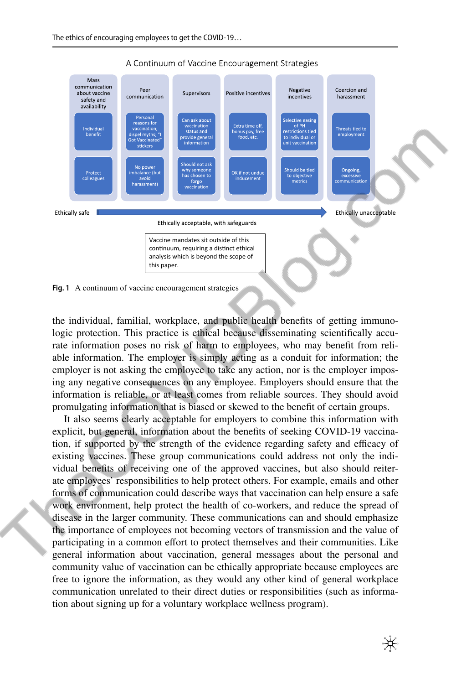

#### A Continuum of Vaccine Encouragement Strategies

<span id="page-2-0"></span>**Fig. 1** A continuum of vaccine encouragement strategies

the individual, familial, workplace, and public health benefts of getting immunologic protection. This practice is ethical because disseminating scientifcally accurate information poses no risk of harm to employees, who may beneft from reliable information. The employer is simply acting as a conduit for information; the employer is not asking the employee to take any action, nor is the employer imposing any negative consequences on any employee. Employers should ensure that the information is reliable, or at least comes from reliable sources. They should avoid promulgating information that is biased or skewed to the beneft of certain groups.

It also seems clearly acceptable for employers to combine this information with explicit, but general, information about the benefts of seeking COVID-19 vaccination, if supported by the strength of the evidence regarding safety and efficacy of existing vaccines. These group communications could address not only the individual benefts of receiving one of the approved vaccines, but also should reiterate employees' responsibilities to help protect others. For example, emails and other forms of communication could describe ways that vaccination can help ensure a safe work environment, help protect the health of co-workers, and reduce the spread of disease in the larger community. These communications can and should emphasize the importance of employees not becoming vectors of transmission and the value of participating in a common efort to protect themselves and their communities. Like general information about vaccination, general messages about the personal and community value of vaccination can be ethically appropriate because employees are free to ignore the information, as they would any other kind of general workplace communication unrelated to their direct duties or responsibilities (such as information about signing up for a voluntary workplace wellness program).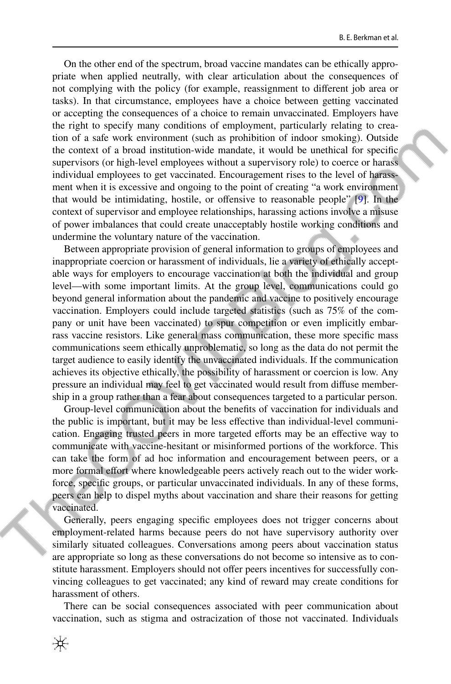On the other end of the spectrum, broad vaccine mandates can be ethically appropriate when applied neutrally, with clear articulation about the consequences of not complying with the policy (for example, reassignment to diferent job area or tasks). In that circumstance, employees have a choice between getting vaccinated or accepting the consequences of a choice to remain unvaccinated. Employers have the right to specify many conditions of employment, particularly relating to creation of a safe work environment (such as prohibition of indoor smoking). Outside the context of a broad institution-wide mandate, it would be unethical for specifc supervisors (or high-level employees without a supervisory role) to coerce or harass individual employees to get vaccinated. Encouragement rises to the level of harassment when it is excessive and ongoing to the point of creating "a work environment that would be intimidating, hostile, or ofensive to reasonable people" [\[9](#page-7-8)]. In the context of supervisor and employee relationships, harassing actions involve a misuse of power imbalances that could create unacceptably hostile working conditions and undermine the voluntary nature of the vaccination.

Between appropriate provision of general information to groups of employees and inappropriate coercion or harassment of individuals, lie a variety of ethically acceptable ways for employers to encourage vaccination at both the individual and group level—with some important limits. At the group level, communications could go beyond general information about the pandemic and vaccine to positively encourage vaccination. Employers could include targeted statistics (such as 75% of the company or unit have been vaccinated) to spur competition or even implicitly embarrass vaccine resistors. Like general mass communication, these more specifc mass communications seem ethically unproblematic, so long as the data do not permit the target audience to easily identify the unvaccinated individuals. If the communication achieves its objective ethically, the possibility of harassment or coercion is low. Any pressure an individual may feel to get vaccinated would result from difuse membership in a group rather than a fear about consequences targeted to a particular person.

Group-level communication about the benefts of vaccination for individuals and the public is important, but it may be less efective than individual-level communication. Engaging trusted peers in more targeted efforts may be an effective way to communicate with vaccine-hesitant or misinformed portions of the workforce. This can take the form of ad hoc information and encouragement between peers, or a more formal effort where knowledgeable peers actively reach out to the wider workforce, specifc groups, or particular unvaccinated individuals. In any of these forms, peers can help to dispel myths about vaccination and share their reasons for getting vaccinated.

Generally, peers engaging specifc employees does not trigger concerns about employment-related harms because peers do not have supervisory authority over similarly situated colleagues. Conversations among peers about vaccination status are appropriate so long as these conversations do not become so intensive as to constitute harassment. Employers should not offer peers incentives for successfully convincing colleagues to get vaccinated; any kind of reward may create conditions for harassment of others.

There can be social consequences associated with peer communication about vaccination, such as stigma and ostracization of those not vaccinated. Individuals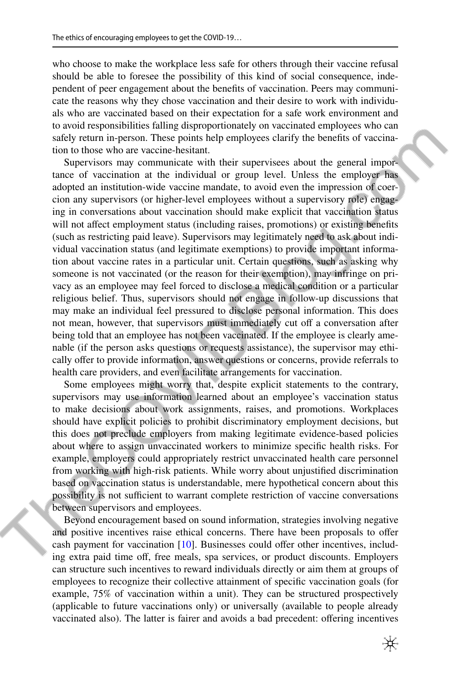who choose to make the workplace less safe for others through their vaccine refusal should be able to foresee the possibility of this kind of social consequence, independent of peer engagement about the benefts of vaccination. Peers may communicate the reasons why they chose vaccination and their desire to work with individuals who are vaccinated based on their expectation for a safe work environment and to avoid responsibilities falling disproportionately on vaccinated employees who can safely return in-person. These points help employees clarify the benefts of vaccination to those who are vaccine-hesitant.

Supervisors may communicate with their supervisees about the general importance of vaccination at the individual or group level. Unless the employer has adopted an institution-wide vaccine mandate, to avoid even the impression of coercion any supervisors (or higher-level employees without a supervisory role) engaging in conversations about vaccination should make explicit that vaccination status will not affect employment status (including raises, promotions) or existing benefits (such as restricting paid leave). Supervisors may legitimately need to ask about individual vaccination status (and legitimate exemptions) to provide important information about vaccine rates in a particular unit. Certain questions, such as asking why someone is not vaccinated (or the reason for their exemption), may infringe on privacy as an employee may feel forced to disclose a medical condition or a particular religious belief. Thus, supervisors should not engage in follow-up discussions that may make an individual feel pressured to disclose personal information. This does not mean, however, that supervisors must immediately cut off a conversation after being told that an employee has not been vaccinated. If the employee is clearly amenable (if the person asks questions or requests assistance), the supervisor may ethically offer to provide information, answer questions or concerns, provide referrals to health care providers, and even facilitate arrangements for vaccination.

Some employees might worry that, despite explicit statements to the contrary, supervisors may use information learned about an employee's vaccination status to make decisions about work assignments, raises, and promotions. Workplaces should have explicit policies to prohibit discriminatory employment decisions, but this does not preclude employers from making legitimate evidence-based policies about where to assign unvaccinated workers to minimize specifc health risks. For example, employers could appropriately restrict unvaccinated health care personnel from working with high-risk patients. While worry about unjustifed discrimination based on vaccination status is understandable, mere hypothetical concern about this possibility is not sufficient to warrant complete restriction of vaccine conversations between supervisors and employees.

Beyond encouragement based on sound information, strategies involving negative and positive incentives raise ethical concerns. There have been proposals to ofer cash payment for vaccination [\[10](#page-7-9)]. Businesses could offer other incentives, including extra paid time off, free meals, spa services, or product discounts. Employers can structure such incentives to reward individuals directly or aim them at groups of employees to recognize their collective attainment of specifc vaccination goals (for example, 75% of vaccination within a unit). They can be structured prospectively (applicable to future vaccinations only) or universally (available to people already vaccinated also). The latter is fairer and avoids a bad precedent: offering incentives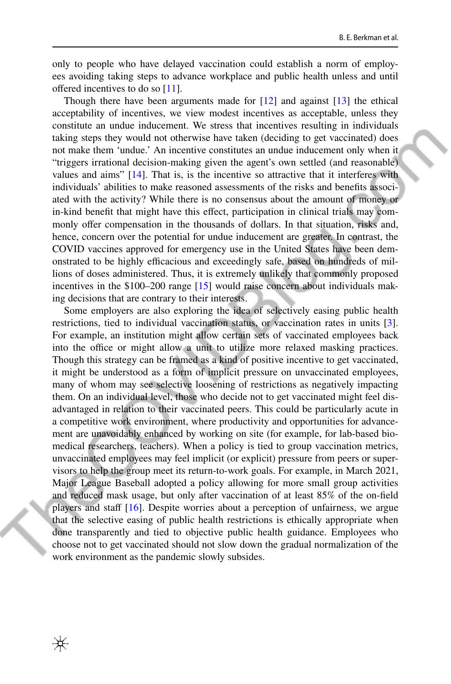only to people who have delayed vaccination could establish a norm of employees avoiding taking steps to advance workplace and public health unless and until offered incentives to do so [\[11](#page-7-10)].

Though there have been arguments made for  $[12]$  $[12]$  and against  $[13]$  $[13]$  the ethical acceptability of incentives, we view modest incentives as acceptable, unless they constitute an undue inducement. We stress that incentives resulting in individuals taking steps they would not otherwise have taken (deciding to get vaccinated) does not make them 'undue.' An incentive constitutes an undue inducement only when it "triggers irrational decision-making given the agent's own settled (and reasonable) values and aims" [\[14](#page-7-13)]. That is, is the incentive so attractive that it interferes with individuals' abilities to make reasoned assessments of the risks and benefts associated with the activity? While there is no consensus about the amount of money or in-kind beneft that might have this efect, participation in clinical trials may commonly ofer compensation in the thousands of dollars. In that situation, risks and, hence, concern over the potential for undue inducement are greater. In contrast, the COVID vaccines approved for emergency use in the United States have been demonstrated to be highly efficacious and exceedingly safe, based on hundreds of millions of doses administered. Thus, it is extremely unlikely that commonly proposed incentives in the \$100–200 range [\[15](#page-7-14)] would raise concern about individuals making decisions that are contrary to their interests.

Some employers are also exploring the idea of selectively easing public health restrictions, tied to individual vaccination status, or vaccination rates in units [[3\]](#page-7-2). For example, an institution might allow certain sets of vaccinated employees back into the office or might allow a unit to utilize more relaxed masking practices. Though this strategy can be framed as a kind of positive incentive to get vaccinated, it might be understood as a form of implicit pressure on unvaccinated employees, many of whom may see selective loosening of restrictions as negatively impacting them. On an individual level, those who decide not to get vaccinated might feel disadvantaged in relation to their vaccinated peers. This could be particularly acute in a competitive work environment, where productivity and opportunities for advancement are unavoidably enhanced by working on site (for example, for lab-based biomedical researchers, teachers). When a policy is tied to group vaccination metrics, unvaccinated employees may feel implicit (or explicit) pressure from peers or supervisors to help the group meet its return-to-work goals. For example, in March 2021, Major League Baseball adopted a policy allowing for more small group activities and reduced mask usage, but only after vaccination of at least 85% of the on-feld players and staff  $[16]$  $[16]$ . Despite worries about a perception of unfairness, we argue that the selective easing of public health restrictions is ethically appropriate when done transparently and tied to objective public health guidance. Employees who choose not to get vaccinated should not slow down the gradual normalization of the work environment as the pandemic slowly subsides.

₩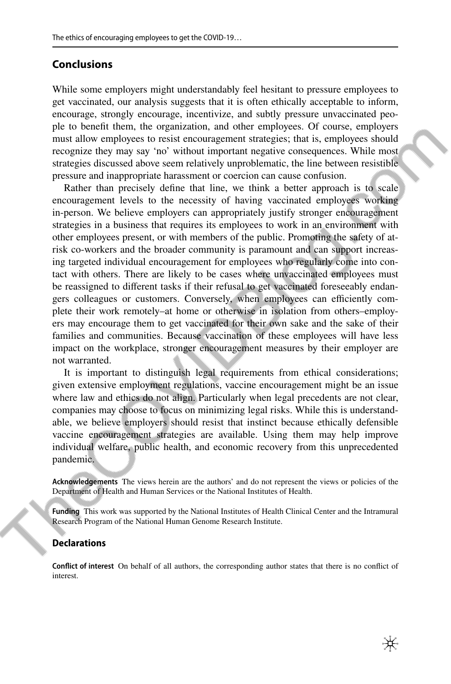### **Conclusions**

While some employers might understandably feel hesitant to pressure employees to get vaccinated, our analysis suggests that it is often ethically acceptable to inform, encourage, strongly encourage, incentivize, and subtly pressure unvaccinated people to beneft them, the organization, and other employees. Of course, employers must allow employees to resist encouragement strategies; that is, employees should recognize they may say 'no' without important negative consequences. While most strategies discussed above seem relatively unproblematic, the line between resistible pressure and inappropriate harassment or coercion can cause confusion.

Rather than precisely defne that line, we think a better approach is to scale encouragement levels to the necessity of having vaccinated employees working in-person. We believe employers can appropriately justify stronger encouragement strategies in a business that requires its employees to work in an environment with other employees present, or with members of the public. Promoting the safety of atrisk co-workers and the broader community is paramount and can support increasing targeted individual encouragement for employees who regularly come into contact with others. There are likely to be cases where unvaccinated employees must be reassigned to diferent tasks if their refusal to get vaccinated foreseeably endangers colleagues or customers. Conversely, when employees can efficiently complete their work remotely–at home or otherwise in isolation from others–employers may encourage them to get vaccinated for their own sake and the sake of their families and communities. Because vaccination of these employees will have less impact on the workplace, stronger encouragement measures by their employer are not warranted.

It is important to distinguish legal requirements from ethical considerations; given extensive employment regulations, vaccine encouragement might be an issue where law and ethics do not align. Particularly when legal precedents are not clear, companies may choose to focus on minimizing legal risks. While this is understandable, we believe employers should resist that instinct because ethically defensible vaccine encouragement strategies are available. Using them may help improve individual welfare, public health, and economic recovery from this unprecedented pandemic.

**Acknowledgements** The views herein are the authors' and do not represent the views or policies of the Department of Health and Human Services or the National Institutes of Health.

**Funding** This work was supported by the National Institutes of Health Clinical Center and the Intramural Research Program of the National Human Genome Research Institute.

#### **Declarations**

**Confict of interest** On behalf of all authors, the corresponding author states that there is no confict of interest.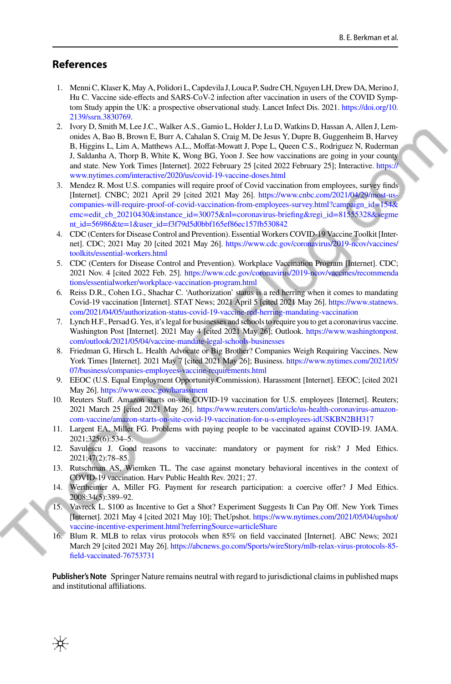#### **References**

- <span id="page-7-0"></span>1. Menni C, Klaser K, May A, Polidori L, Capdevila J, Louca P, Sudre CH, Nguyen LH, Drew DA, Merino J, Hu C. Vaccine side-efects and SARS-CoV-2 infection after vaccination in users of the COVID Symptom Study appin the UK: a prospective observational study. Lancet Infect Dis. 2021. [https://doi.org/10.](https://doi.org/10.2139/ssrn.3830769) [2139/ssrn.3830769](https://doi.org/10.2139/ssrn.3830769).
- <span id="page-7-1"></span>2. Ivory D, Smith M, Lee J.C., Walker A.S., Gamio L, Holder J, Lu D, Watkins D, Hassan A, Allen J, Lemonides A, Bao B, Brown E, Burr A, Cahalan S, Craig M, De Jesus Y, Dupre B, Guggenheim B, Harvey B, Higgins L, Lim A, Matthews A.L., Moffat-Mowatt J, Pope L, Queen C.S., Rodriguez N, Ruderman J, Saldanha A, Thorp B, White K, Wong BG, Yoon J. See how vaccinations are going in your county and state. New York Times [Internet]. 2022 February 25 [cited 2022 February 25]; Interactive. [https://](https://www.nytimes.com/interactive/2020/us/covid-19-vaccine-doses.html) [www.nytimes.com/interactive/2020/us/covid-19-vaccine-doses.html](https://www.nytimes.com/interactive/2020/us/covid-19-vaccine-doses.html)
- <span id="page-7-2"></span>3. Mendez R. Most U.S. companies will require proof of Covid vaccination from employees, survey fnds [Internet]. CNBC; 2021 April 29 [cited 2021 May 26]. [https://www.cnbc.com/2021/04/29/most-us](https://www.cnbc.com/2021/04/29/most-us-companies-will-require-proof-of-covid-vaccination-from-employees-survey.html?campaign_id=154&emc=edit_cb_20210430&instance_id=30075&nl=coronavirus-briefing®i_id=81555328&segment_id=56986&te=1&user_id=f3f79d5d0bbf165ef86ec157fb530842)[companies-will-require-proof-of-covid-vaccination-from-employees-survey.html?campaign\\_id=154&](https://www.cnbc.com/2021/04/29/most-us-companies-will-require-proof-of-covid-vaccination-from-employees-survey.html?campaign_id=154&emc=edit_cb_20210430&instance_id=30075&nl=coronavirus-briefing®i_id=81555328&segment_id=56986&te=1&user_id=f3f79d5d0bbf165ef86ec157fb530842) [emc=edit\\_cb\\_20210430&instance\\_id=30075&nl=coronavirus-briefing&regi\\_id=81555328&segme](https://www.cnbc.com/2021/04/29/most-us-companies-will-require-proof-of-covid-vaccination-from-employees-survey.html?campaign_id=154&emc=edit_cb_20210430&instance_id=30075&nl=coronavirus-briefing®i_id=81555328&segment_id=56986&te=1&user_id=f3f79d5d0bbf165ef86ec157fb530842) [nt\\_id=56986&te=1&user\\_id=f3f79d5d0bbf165ef86ec157fb530842](https://www.cnbc.com/2021/04/29/most-us-companies-will-require-proof-of-covid-vaccination-from-employees-survey.html?campaign_id=154&emc=edit_cb_20210430&instance_id=30075&nl=coronavirus-briefing®i_id=81555328&segment_id=56986&te=1&user_id=f3f79d5d0bbf165ef86ec157fb530842)
- <span id="page-7-3"></span>4. CDC (Centers for Disease Control and Prevention). Essential Workers COVID-19 Vaccine Toolkit [Internet]. CDC; 2021 May 20 [cited 2021 May 26]. [https://www.cdc.gov/coronavirus/2019-ncov/vaccines/](https://www.cdc.gov/coronavirus/2019-ncov/vaccines/toolkits/essential-workers.html) [toolkits/essential-workers.html](https://www.cdc.gov/coronavirus/2019-ncov/vaccines/toolkits/essential-workers.html)
- <span id="page-7-4"></span>5. CDC (Centers for Disease Control and Prevention). Workplace Vaccination Program [Internet]. CDC; 2021 Nov. 4 [cited 2022 Feb. 25]. [https://www.cdc.gov/coronavirus/2019-ncov/vaccines/recommenda](https://www.cdc.gov/coronavirus/2019-ncov/vaccines/recommendations/essentialworker/workplace-vaccination-program.html) [tions/essentialworker/workplace-vaccination-program.html](https://www.cdc.gov/coronavirus/2019-ncov/vaccines/recommendations/essentialworker/workplace-vaccination-program.html)
- <span id="page-7-5"></span>6. Reiss D.R., Cohen I.G., Shachar C. 'Authorization' status is a red herring when it comes to mandating Covid-19 vaccination [Internet]. STAT News; 2021 April 5 [cited 2021 May 26]. [https://www.statnews.](https://www.statnews.com/2021/04/05/authorization-status-covid-19-vaccine-red-herring-mandating-vaccination) [com/2021/04/05/authorization-status-covid-19-vaccine-red-herring-mandating-vaccination](https://www.statnews.com/2021/04/05/authorization-status-covid-19-vaccine-red-herring-mandating-vaccination)
- <span id="page-7-6"></span>7. Lynch H.F., Persad G. Yes, it's legal for businesses and schools to require you to get a coronavirus vaccine. Washington Post [Internet]. 2021 May 4 [cited 2021 May 26]; Outlook. [https://www.washingtonpost.](https://www.washingtonpost.com/outlook/2021/05/04/vaccine-mandate-legal-schools-businesses) [com/outlook/2021/05/04/vaccine-mandate-legal-schools-businesses](https://www.washingtonpost.com/outlook/2021/05/04/vaccine-mandate-legal-schools-businesses)
- <span id="page-7-7"></span>8. Friedman G, Hirsch L. Health Advocate or Big Brother? Companies Weigh Requiring Vaccines. New York Times [Internet]. 2021 May 7 [cited 2021 May 26]; Business. [https://www.nytimes.com/2021/05/](https://www.nytimes.com/2021/05/07/business/companies-employees-vaccine-requirements.html) [07/business/companies-employees-vaccine-requirements.html](https://www.nytimes.com/2021/05/07/business/companies-employees-vaccine-requirements.html)
- <span id="page-7-8"></span>9. EEOC (U.S. Equal Employment Opportunity Commission). Harassment [Internet]. EEOC; [cited 2021 May 26].<https://www.eeoc.gov/harassment>
- <span id="page-7-9"></span>10. Reuters Staf. Amazon starts on-site COVID-19 vaccination for U.S. employees [Internet]. Reuters; 2021 March 25 [cited 2021 May 26]. [https://www.reuters.com/article/us-health-coronavirus-amazon](https://www.reuters.com/article/us-health-coronavirus-amazon-com-vaccine/amazon-starts-on-site-covid-19-vaccination-for-u-s-employees-idUSKBN2BH317)[com-vaccine/amazon-starts-on-site-covid-19-vaccination-for-u-s-employees-idUSKBN2BH317](https://www.reuters.com/article/us-health-coronavirus-amazon-com-vaccine/amazon-starts-on-site-covid-19-vaccination-for-u-s-employees-idUSKBN2BH317)
- <span id="page-7-10"></span>11. Largent EA, Miller FG. Problems with paying people to be vaccinated against COVID-19. JAMA. 2021;325(6):534–5.
- <span id="page-7-11"></span>12. Savulescu J. Good reasons to vaccinate: mandatory or payment for risk? J Med Ethics. 2021;47(2):78–85.
- <span id="page-7-12"></span>13. Rutschman AS, Wiemken TL. The case against monetary behavioral incentives in the context of COVID-19 vaccination. Harv Public Health Rev. 2021; 27.
- <span id="page-7-13"></span>14. Wertheimer A, Miller FG. Payment for research participation: a coercive ofer? J Med Ethics. 2008;34(5):389–92.
- <span id="page-7-14"></span>15. Vavreck L. \$100 as Incentive to Get a Shot? Experiment Suggests It Can Pay Of. New York Times [Internet]. 2021 May 4 [cited 2021 May 10]; TheUpshot. [https://www.nytimes.com/2021/05/04/upshot/](https://www.nytimes.com/2021/05/04/upshot/vaccine-incentive-experiment.html?referringSource=articleShare) [vaccine-incentive-experiment.html?referringSource=articleShare](https://www.nytimes.com/2021/05/04/upshot/vaccine-incentive-experiment.html?referringSource=articleShare)
- <span id="page-7-15"></span>16. Blum R. MLB to relax virus protocols when 85% on feld vaccinated [Internet]. ABC News; 2021 March 29 [cited 2021 May 26]. [https://abcnews.go.com/Sports/wireStory/mlb-relax-virus-protocols-85](https://abcnews.go.com/Sports/wireStory/mlb-relax-virus-protocols-85-field-vaccinated-76753731) [feld-vaccinated-76753731](https://abcnews.go.com/Sports/wireStory/mlb-relax-virus-protocols-85-field-vaccinated-76753731)

**Publisher's Note** Springer Nature remains neutral with regard to jurisdictional claims in published maps and institutional affiliations.